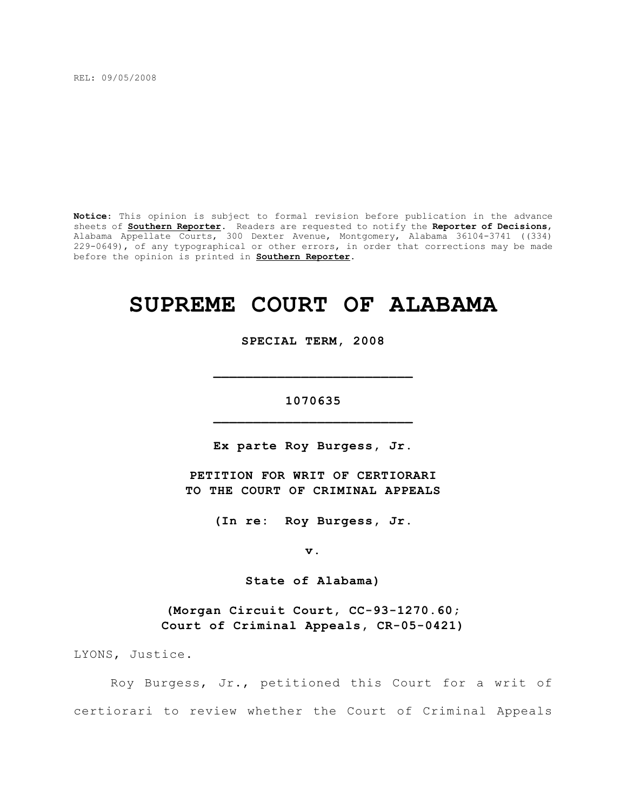REL: 09/05/2008

**Notice**: This opinion is subject to formal revision before publication in the advance sheets of **Southern Reporter**. Readers are requested to notify the **Reporter of Decisions**, Alabama Appellate Courts, 300 Dexter Avenue, Montgomery, Alabama 36104-3741 ((334) 229-0649), of any typographical or other errors, in order that corrections may be made before the opinion is printed in **Southern Reporter**.

# **SUPREME COURT OF ALABAMA**

**SPECIAL TERM, 2008**

## **1070635 \_\_\_\_\_\_\_\_\_\_\_\_\_\_\_\_\_\_\_\_\_\_\_\_\_**

**\_\_\_\_\_\_\_\_\_\_\_\_\_\_\_\_\_\_\_\_\_\_\_\_\_**

**Ex parte Roy Burgess, Jr.**

**PETITION FOR WRIT OF CERTIORARI TO THE COURT OF CRIMINAL APPEALS**

**(In re: Roy Burgess, Jr.**

**v.**

**State of Alabama)**

**(Morgan Circuit Court, CC-93-1270.60; Court of Criminal Appeals, CR-05-0421)**

LYONS, Justice.

Roy Burgess, Jr., petitioned this Court for a writ of certiorari to review whether the Court of Criminal Appeals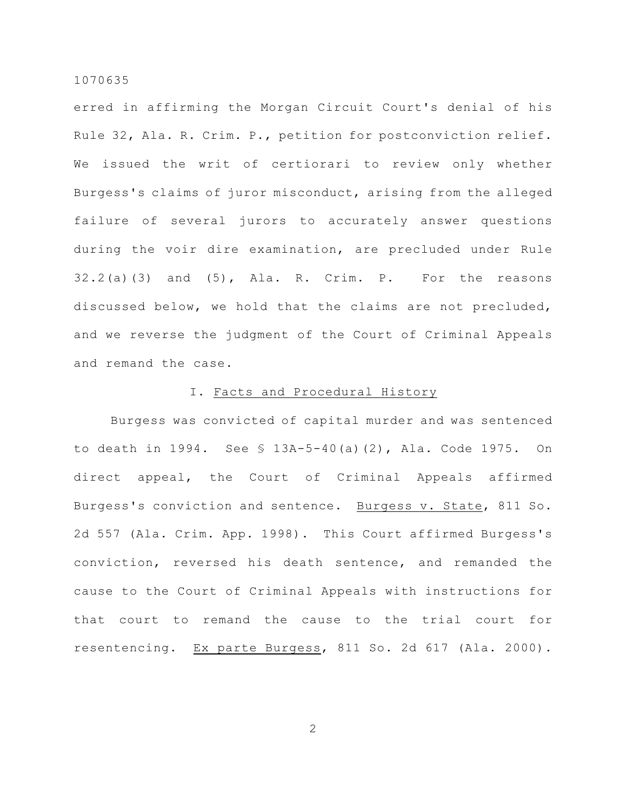erred in affirming the Morgan Circuit Court's denial of his Rule 32, Ala. R. Crim. P., petition for postconviction relief. We issued the writ of certiorari to review only whether Burgess's claims of juror misconduct, arising from the alleged failure of several jurors to accurately answer questions during the voir dire examination, are precluded under Rule  $32.2(a)(3)$  and  $(5)$ , Ala. R. Crim. P. For the reasons discussed below, we hold that the claims are not precluded, and we reverse the judgment of the Court of Criminal Appeals and remand the case.

## I. Facts and Procedural History

Burgess was convicted of capital murder and was sentenced to death in 1994. See § 13A-5-40(a)(2), Ala. Code 1975. On direct appeal, the Court of Criminal Appeals affirmed Burgess's conviction and sentence. Burgess v. State, 811 So. 2d 557 (Ala. Crim. App. 1998). This Court affirmed Burgess's conviction, reversed his death sentence, and remanded the cause to the Court of Criminal Appeals with instructions for that court to remand the cause to the trial court for resentencing. Ex parte Burgess, 811 So. 2d 617 (Ala. 2000).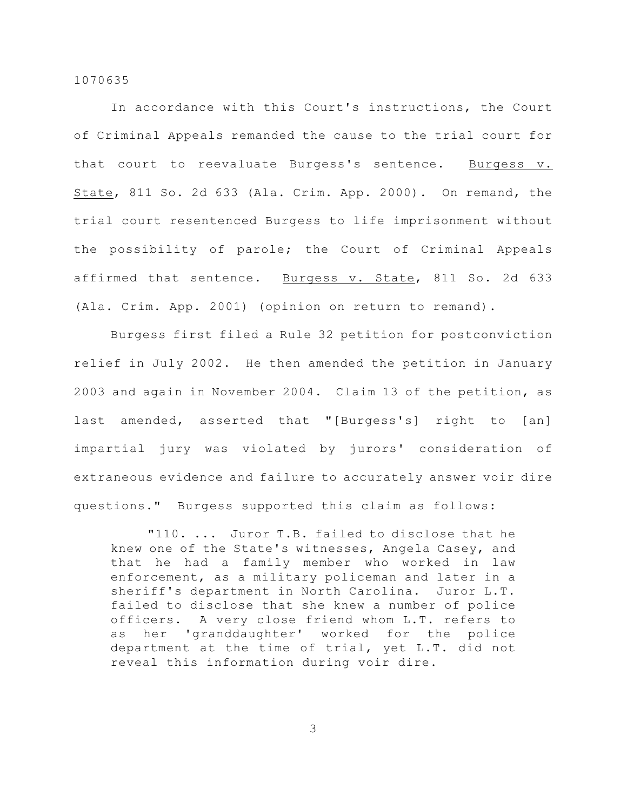In accordance with this Court's instructions, the Court of Criminal Appeals remanded the cause to the trial court for that court to reevaluate Burgess's sentence. Burgess v. State, 811 So. 2d 633 (Ala. Crim. App. 2000). On remand, the trial court resentenced Burgess to life imprisonment without the possibility of parole; the Court of Criminal Appeals affirmed that sentence. Burgess v. State, 811 So. 2d 633 (Ala. Crim. App. 2001) (opinion on return to remand).

Burgess first filed a Rule 32 petition for postconviction relief in July 2002. He then amended the petition in January 2003 and again in November 2004. Claim 13 of the petition, as last amended, asserted that "[Burgess's] right to [an] impartial jury was violated by jurors' consideration of extraneous evidence and failure to accurately answer voir dire questions." Burgess supported this claim as follows:

"110. ... Juror T.B. failed to disclose that he knew one of the State's witnesses, Angela Casey, and that he had a family member who worked in law enforcement, as a military policeman and later in a sheriff's department in North Carolina. Juror L.T. failed to disclose that she knew a number of police officers. A very close friend whom L.T. refers to as her 'granddaughter' worked for the police department at the time of trial, yet L.T. did not reveal this information during voir dire.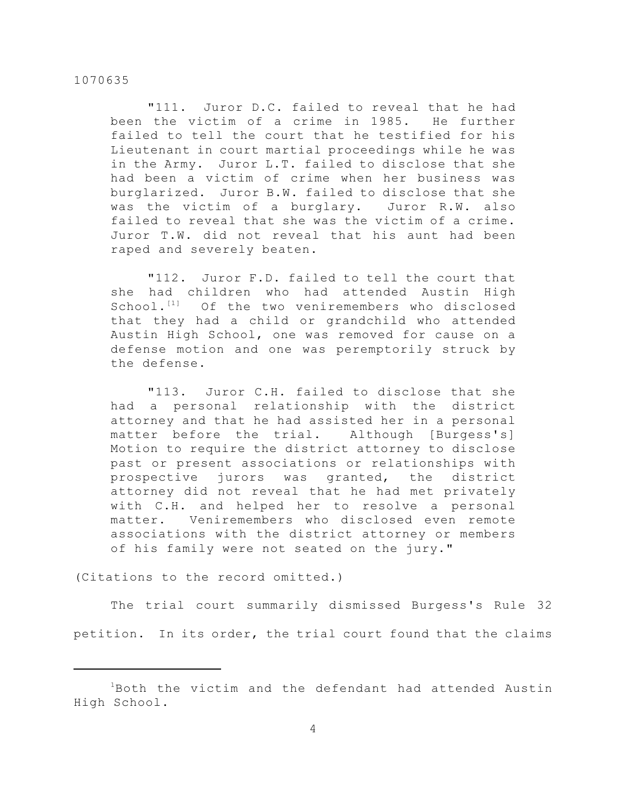"111. Juror D.C. failed to reveal that he had been the victim of a crime in 1985. He further failed to tell the court that he testified for his Lieutenant in court martial proceedings while he was in the Army. Juror L.T. failed to disclose that she had been a victim of crime when her business was burglarized. Juror B.W. failed to disclose that she was the victim of a burglary. Juror R.W. also failed to reveal that she was the victim of a crime. Juror T.W. did not reveal that his aunt had been raped and severely beaten.

"112. Juror F.D. failed to tell the court that she had children who had attended Austin High School. $^{[1]}$  Of the two veniremembers who disclosed that they had a child or grandchild who attended Austin High School, one was removed for cause on a defense motion and one was peremptorily struck by the defense.

"113. Juror C.H. failed to disclose that she had a personal relationship with the district attorney and that he had assisted her in a personal matter before the trial. Although [Burgess's] Motion to require the district attorney to disclose past or present associations or relationships with prospective jurors was granted, the district attorney did not reveal that he had met privately with C.H. and helped her to resolve a personal matter. Veniremembers who disclosed even remote associations with the district attorney or members of his family were not seated on the jury."

(Citations to the record omitted.)

The trial court summarily dismissed Burgess's Rule 32 petition. In its order, the trial court found that the claims

 $1B$ oth the victim and the defendant had attended Austin High School.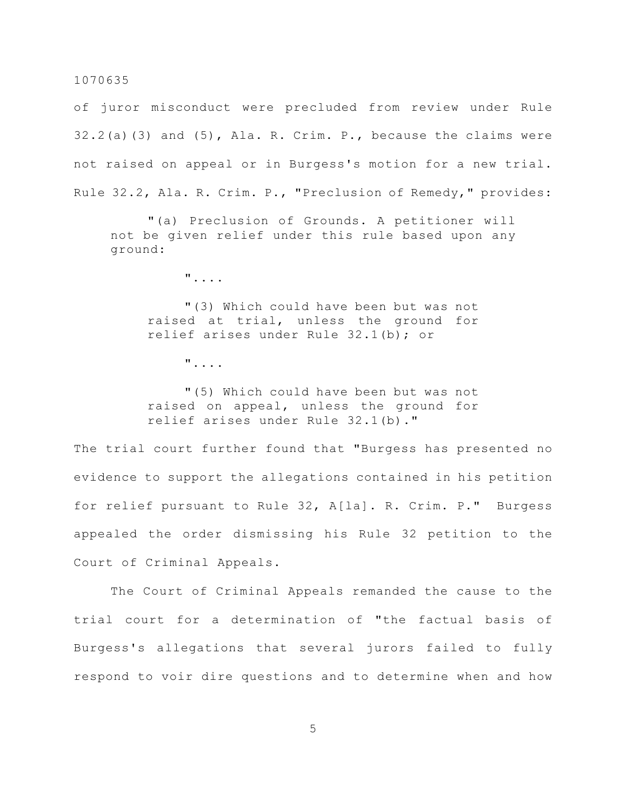of juror misconduct were precluded from review under Rule 32.2(a)(3) and (5), Ala. R. Crim. P., because the claims were not raised on appeal or in Burgess's motion for a new trial. Rule 32.2, Ala. R. Crim. P., "Preclusion of Remedy," provides:

"(a) Preclusion of Grounds. A petitioner will not be given relief under this rule based upon any ground:

"....

"(3) Which could have been but was not raised at trial, unless the ground for relief arises under Rule 32.1(b); or

"....

"(5) Which could have been but was not raised on appeal, unless the ground for relief arises under Rule 32.1(b)."

The trial court further found that "Burgess has presented no evidence to support the allegations contained in his petition for relief pursuant to Rule 32, A[la]. R. Crim. P." Burgess appealed the order dismissing his Rule 32 petition to the Court of Criminal Appeals.

The Court of Criminal Appeals remanded the cause to the trial court for a determination of "the factual basis of Burgess's allegations that several jurors failed to fully respond to voir dire questions and to determine when and how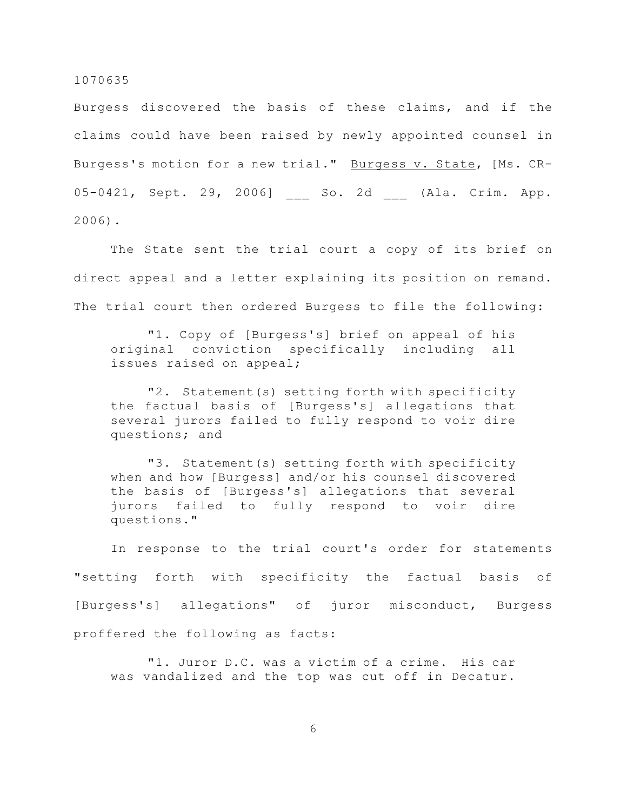Burgess discovered the basis of these claims, and if the claims could have been raised by newly appointed counsel in Burgess's motion for a new trial." Burgess v. State, [Ms. CR-05-0421, Sept. 29, 2006] So. 2d (Ala. Crim. App. 2006).

The State sent the trial court a copy of its brief on direct appeal and a letter explaining its position on remand. The trial court then ordered Burgess to file the following:

"1. Copy of [Burgess's] brief on appeal of his original conviction specifically including all issues raised on appeal;

"2. Statement(s) setting forth with specificity the factual basis of [Burgess's] allegations that several jurors failed to fully respond to voir dire questions; and

"3. Statement(s) setting forth with specificity when and how [Burgess] and/or his counsel discovered the basis of [Burgess's] allegations that several jurors failed to fully respond to voir dire questions."

In response to the trial court's order for statements "setting forth with specificity the factual basis of [Burgess's] allegations" of juror misconduct, Burgess proffered the following as facts:

"1. Juror D.C. was a victim of a crime. His car was vandalized and the top was cut off in Decatur.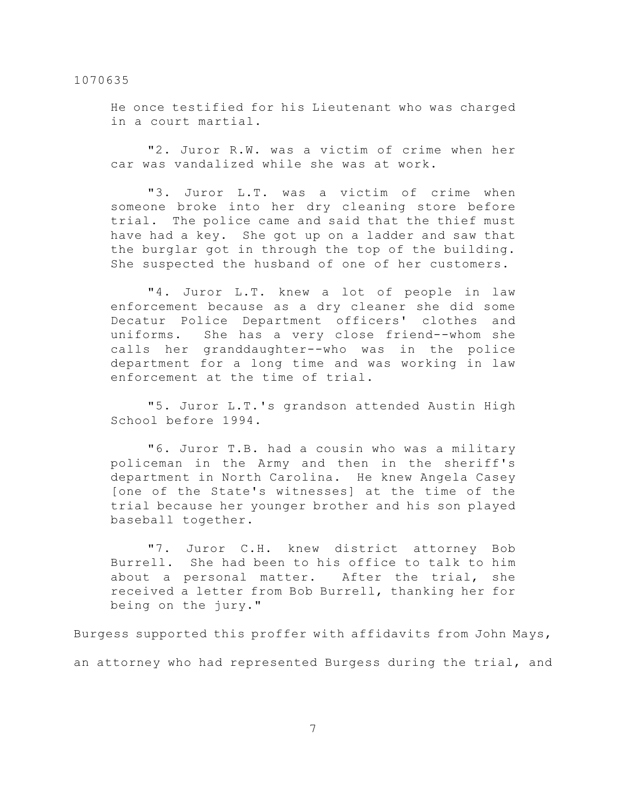He once testified for his Lieutenant who was charged in a court martial.

"2. Juror R.W. was a victim of crime when her car was vandalized while she was at work.

"3. Juror L.T. was a victim of crime when someone broke into her dry cleaning store before trial. The police came and said that the thief must have had a key. She got up on a ladder and saw that the burglar got in through the top of the building. She suspected the husband of one of her customers.

"4. Juror L.T. knew a lot of people in law enforcement because as a dry cleaner she did some Decatur Police Department officers' clothes and uniforms. She has a very close friend--whom she calls her granddaughter--who was in the police department for a long time and was working in law enforcement at the time of trial.

"5. Juror L.T.'s grandson attended Austin High School before 1994.

"6. Juror T.B. had a cousin who was a military policeman in the Army and then in the sheriff's department in North Carolina. He knew Angela Casey [one of the State's witnesses] at the time of the trial because her younger brother and his son played baseball together.

"7. Juror C.H. knew district attorney Bob Burrell. She had been to his office to talk to him about a personal matter. After the trial, she received a letter from Bob Burrell, thanking her for being on the jury."

Burgess supported this proffer with affidavits from John Mays, an attorney who had represented Burgess during the trial, and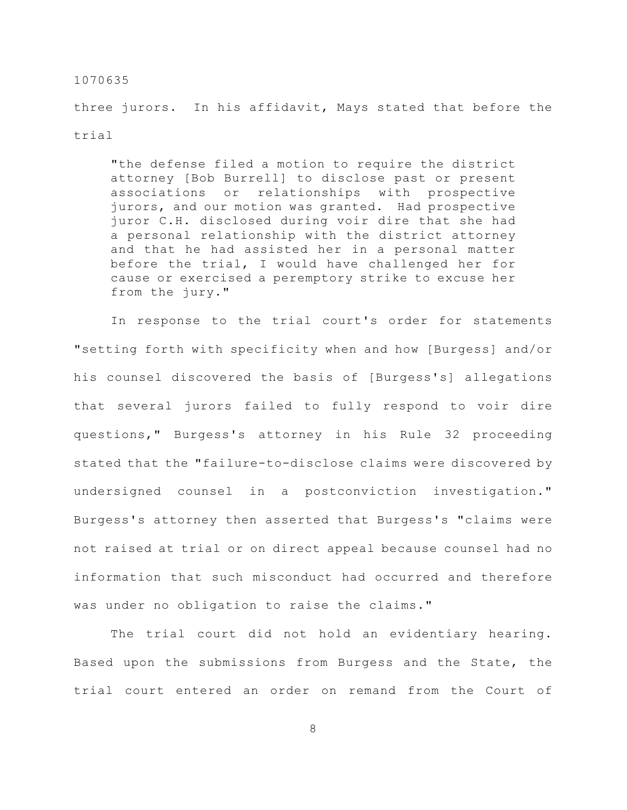three jurors. In his affidavit, Mays stated that before the trial

"the defense filed a motion to require the district attorney [Bob Burrell] to disclose past or present associations or relationships with prospective jurors, and our motion was granted. Had prospective juror C.H. disclosed during voir dire that she had a personal relationship with the district attorney and that he had assisted her in a personal matter before the trial, I would have challenged her for cause or exercised a peremptory strike to excuse her from the jury."

In response to the trial court's order for statements "setting forth with specificity when and how [Burgess] and/or his counsel discovered the basis of [Burgess's] allegations that several jurors failed to fully respond to voir dire questions," Burgess's attorney in his Rule 32 proceeding stated that the "failure-to-disclose claims were discovered by undersigned counsel in a postconviction investigation." Burgess's attorney then asserted that Burgess's "claims were not raised at trial or on direct appeal because counsel had no information that such misconduct had occurred and therefore was under no obligation to raise the claims."

The trial court did not hold an evidentiary hearing. Based upon the submissions from Burgess and the State, the trial court entered an order on remand from the Court of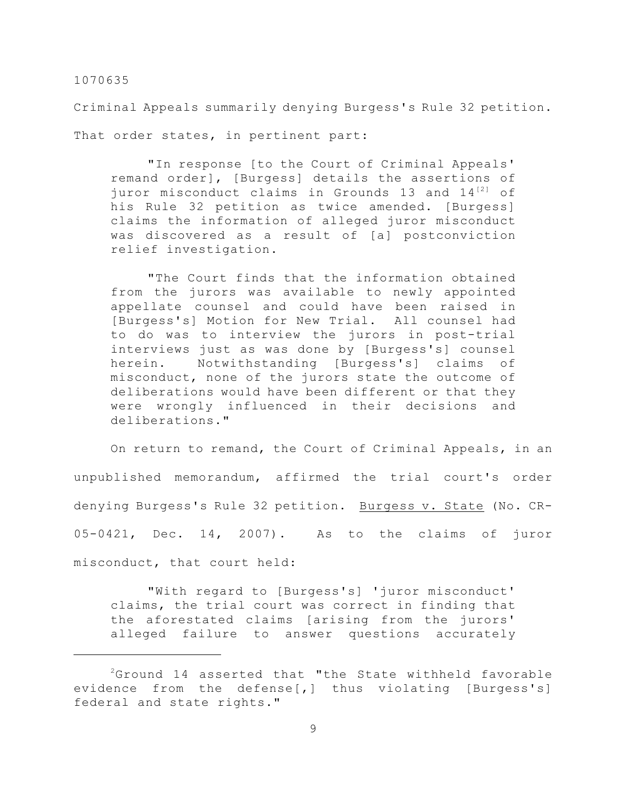Criminal Appeals summarily denying Burgess's Rule 32 petition.

That order states, in pertinent part:

"In response [to the Court of Criminal Appeals' remand order], [Burgess] details the assertions of juror misconduct claims in Grounds 13 and  $14^{[2]}$  of his Rule 32 petition as twice amended. [Burgess] claims the information of alleged juror misconduct was discovered as a result of [a] postconviction relief investigation.

"The Court finds that the information obtained from the jurors was available to newly appointed appellate counsel and could have been raised in [Burgess's] Motion for New Trial. All counsel had to do was to interview the jurors in post-trial interviews just as was done by [Burgess's] counsel herein. Notwithstanding [Burgess's] claims of misconduct, none of the jurors state the outcome of deliberations would have been different or that they were wrongly influenced in their decisions and deliberations."

On return to remand, the Court of Criminal Appeals, in an unpublished memorandum, affirmed the trial court's order denying Burgess's Rule 32 petition. Burgess v. State (No. CR-05-0421, Dec. 14, 2007). As to the claims of juror misconduct, that court held:

"With regard to [Burgess's] 'juror misconduct' claims, the trial court was correct in finding that the aforestated claims [arising from the jurors' alleged failure to answer questions accurately

 $2G$ round 14 asserted that "the State withheld favorable evidence from the defense[,] thus violating [Burgess's] federal and state rights."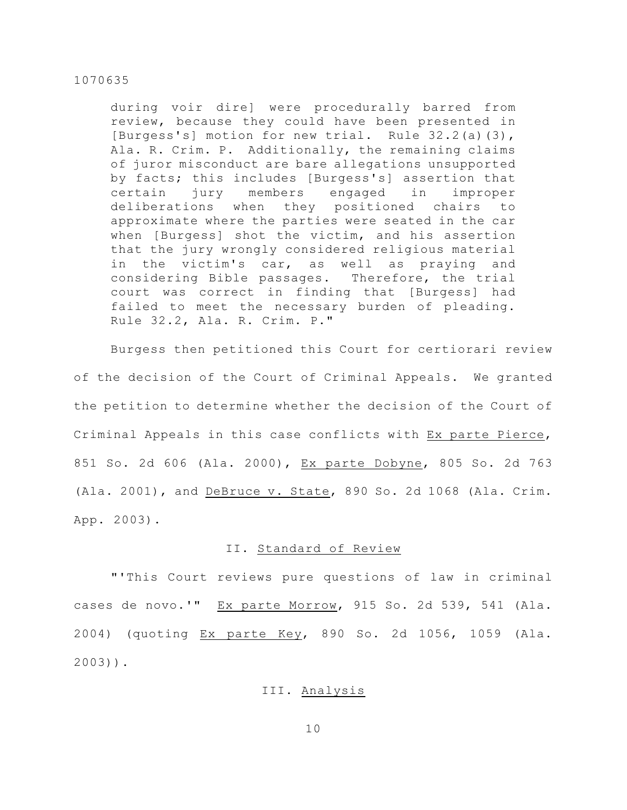during voir dire] were procedurally barred from review, because they could have been presented in [Burgess's] motion for new trial. Rule 32.2(a)(3), Ala. R. Crim. P. Additionally, the remaining claims of juror misconduct are bare allegations unsupported by facts; this includes [Burgess's] assertion that certain jury members engaged in improper deliberations when they positioned chairs to approximate where the parties were seated in the car when [Burgess] shot the victim, and his assertion that the jury wrongly considered religious material in the victim's car, as well as praying and considering Bible passages. Therefore, the trial court was correct in finding that [Burgess] had failed to meet the necessary burden of pleading. Rule 32.2, Ala. R. Crim. P."

Burgess then petitioned this Court for certiorari review of the decision of the Court of Criminal Appeals. We granted the petition to determine whether the decision of the Court of Criminal Appeals in this case conflicts with Ex parte Pierce, 851 So. 2d 606 (Ala. 2000), Ex parte Dobyne, 805 So. 2d 763 (Ala. 2001), and DeBruce v. State, 890 So. 2d 1068 (Ala. Crim. App. 2003).

## II. Standard of Review

"'This Court reviews pure questions of law in criminal cases de novo.'" Ex parte Morrow, 915 So. 2d 539, 541 (Ala. 2004) (quoting Ex parte Key, 890 So. 2d 1056, 1059 (Ala. 2003)).

## III. Analysis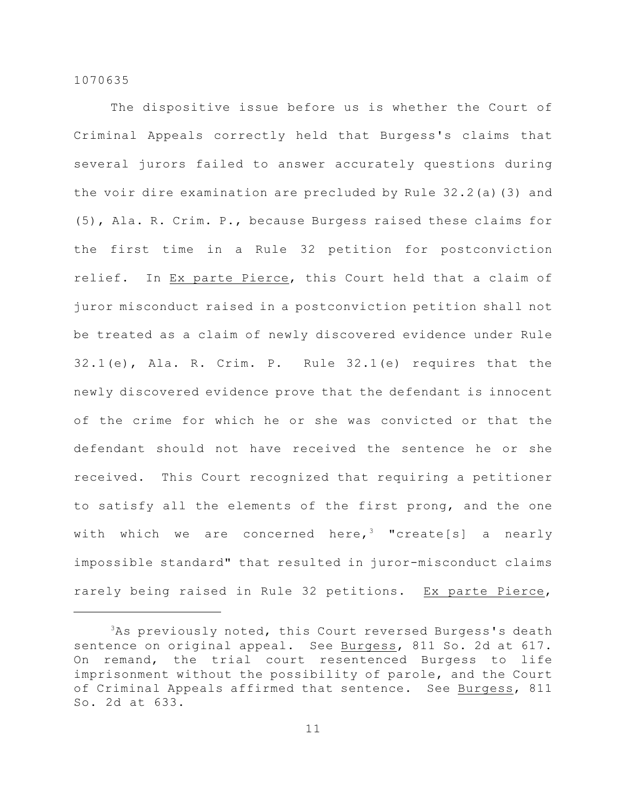The dispositive issue before us is whether the Court of Criminal Appeals correctly held that Burgess's claims that several jurors failed to answer accurately questions during the voir dire examination are precluded by Rule 32.2(a)(3) and (5), Ala. R. Crim. P., because Burgess raised these claims for the first time in a Rule 32 petition for postconviction relief. In Ex parte Pierce, this Court held that a claim of juror misconduct raised in a postconviction petition shall not be treated as a claim of newly discovered evidence under Rule 32.1(e), Ala. R. Crim. P. Rule 32.1(e) requires that the newly discovered evidence prove that the defendant is innocent of the crime for which he or she was convicted or that the defendant should not have received the sentence he or she received. This Court recognized that requiring a petitioner to satisfy all the elements of the first prong, and the one with which we are concerned here,<sup>3</sup> "create[s] a nearly impossible standard" that resulted in juror-misconduct claims rarely being raised in Rule 32 petitions. Ex parte Pierce,

 $3$ As previously noted, this Court reversed Burgess's death sentence on original appeal. See Burgess, 811 So. 2d at 617. On remand, the trial court resentenced Burgess to life imprisonment without the possibility of parole, and the Court of Criminal Appeals affirmed that sentence. See Burgess, 811 So. 2d at 633.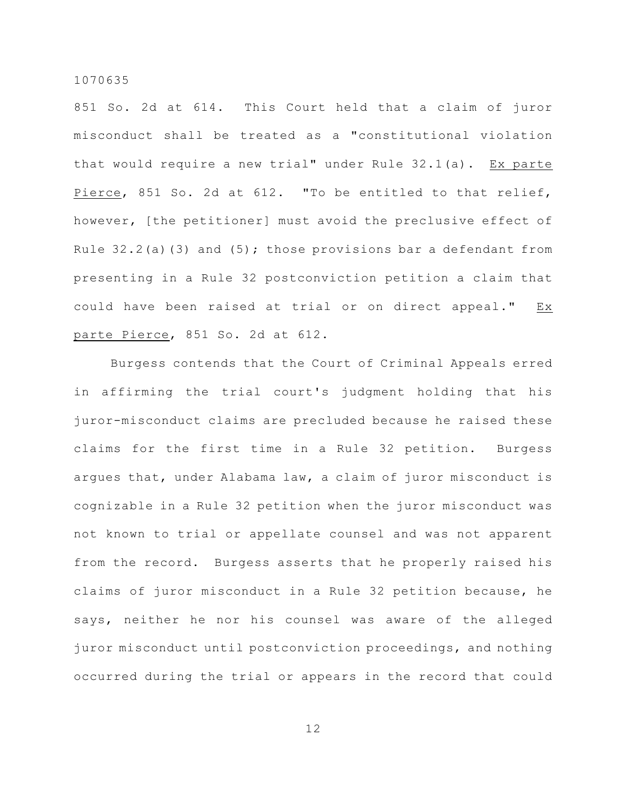851 So. 2d at 614. This Court held that a claim of juror misconduct shall be treated as a "constitutional violation that would require a new trial" under Rule 32.1(a). Ex parte Pierce, 851 So. 2d at 612. "To be entitled to that relief, however, [the petitioner] must avoid the preclusive effect of Rule  $32.2$ (a)(3) and (5); those provisions bar a defendant from presenting in a Rule 32 postconviction petition a claim that could have been raised at trial or on direct appeal." Ex parte Pierce, 851 So. 2d at 612.

Burgess contends that the Court of Criminal Appeals erred in affirming the trial court's judgment holding that his juror-misconduct claims are precluded because he raised these claims for the first time in a Rule 32 petition. Burgess argues that, under Alabama law, a claim of juror misconduct is cognizable in a Rule 32 petition when the juror misconduct was not known to trial or appellate counsel and was not apparent from the record. Burgess asserts that he properly raised his claims of juror misconduct in a Rule 32 petition because, he says, neither he nor his counsel was aware of the alleged juror misconduct until postconviction proceedings, and nothing occurred during the trial or appears in the record that could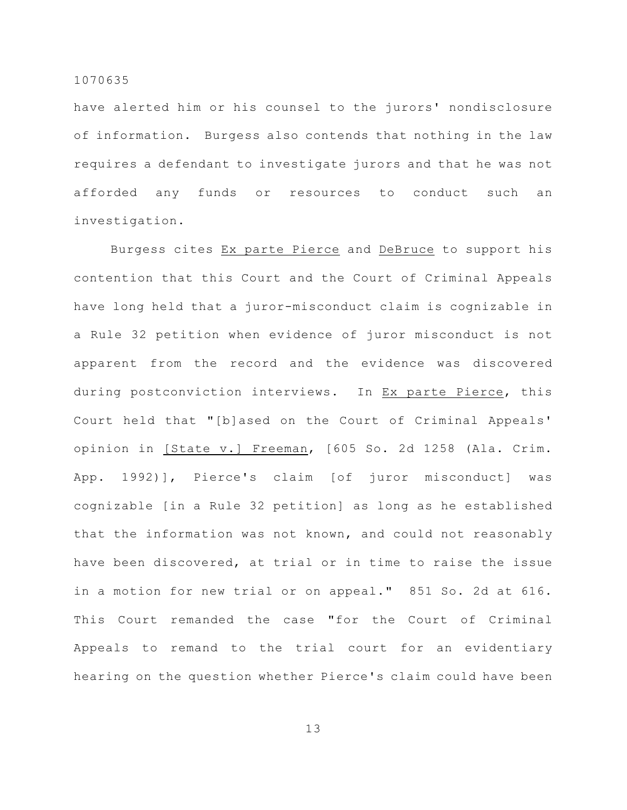have alerted him or his counsel to the jurors' nondisclosure of information. Burgess also contends that nothing in the law requires a defendant to investigate jurors and that he was not afforded any funds or resources to conduct such an investigation.

Burgess cites Ex parte Pierce and DeBruce to support his contention that this Court and the Court of Criminal Appeals have long held that a juror-misconduct claim is cognizable in a Rule 32 petition when evidence of juror misconduct is not apparent from the record and the evidence was discovered during postconviction interviews. In Ex parte Pierce, this Court held that "[b]ased on the Court of Criminal Appeals' opinion in [State v.] Freeman, [605 So. 2d 1258 (Ala. Crim. App. 1992)], Pierce's claim [of juror misconduct] was cognizable [in a Rule 32 petition] as long as he established that the information was not known, and could not reasonably have been discovered, at trial or in time to raise the issue in a motion for new trial or on appeal." 851 So. 2d at 616. This Court remanded the case "for the Court of Criminal Appeals to remand to the trial court for an evidentiary hearing on the question whether Pierce's claim could have been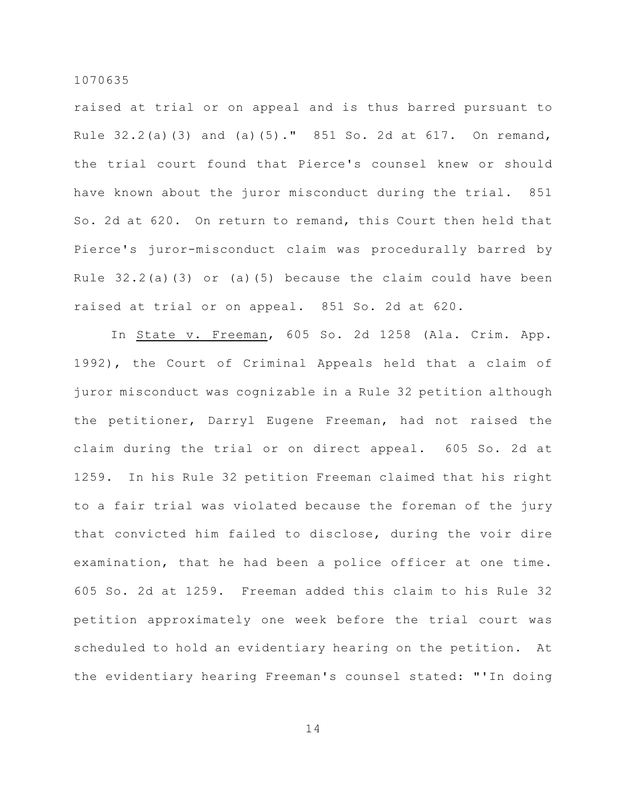raised at trial or on appeal and is thus barred pursuant to Rule 32.2(a)(3) and (a)(5)." 851 So. 2d at 617. On remand, the trial court found that Pierce's counsel knew or should have known about the juror misconduct during the trial. 851 So. 2d at 620. On return to remand, this Court then held that Pierce's juror-misconduct claim was procedurally barred by Rule  $32.2(a)(3)$  or (a)(5) because the claim could have been raised at trial or on appeal. 851 So. 2d at 620.

In State v. Freeman, 605 So. 2d 1258 (Ala. Crim. App. 1992), the Court of Criminal Appeals held that a claim of juror misconduct was cognizable in a Rule 32 petition although the petitioner, Darryl Eugene Freeman, had not raised the claim during the trial or on direct appeal. 605 So. 2d at 1259. In his Rule 32 petition Freeman claimed that his right to a fair trial was violated because the foreman of the jury that convicted him failed to disclose, during the voir dire examination, that he had been a police officer at one time. 605 So. 2d at 1259. Freeman added this claim to his Rule 32 petition approximately one week before the trial court was scheduled to hold an evidentiary hearing on the petition. At the evidentiary hearing Freeman's counsel stated: "'In doing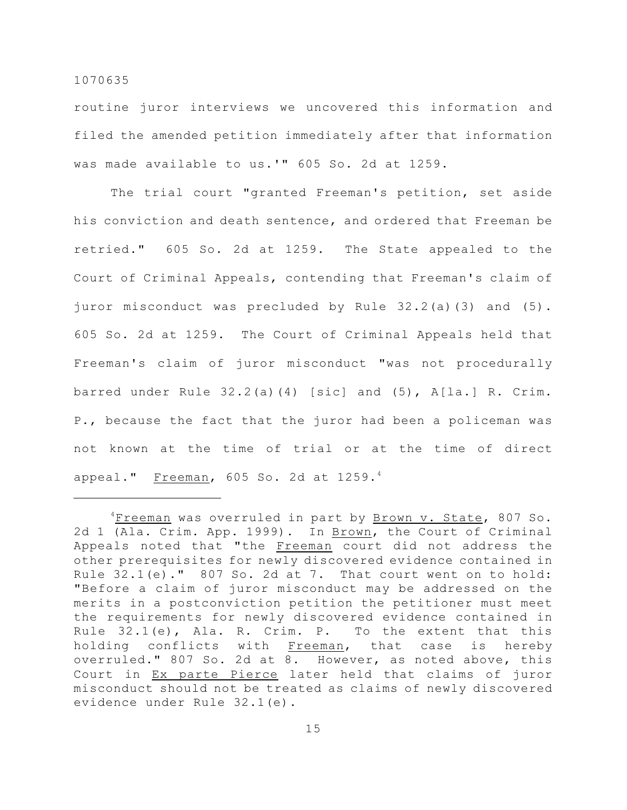routine juror interviews we uncovered this information and filed the amended petition immediately after that information was made available to us.'" 605 So. 2d at 1259.

The trial court "granted Freeman's petition, set aside his conviction and death sentence, and ordered that Freeman be retried." 605 So. 2d at 1259. The State appealed to the Court of Criminal Appeals, contending that Freeman's claim of juror misconduct was precluded by Rule 32.2(a)(3) and (5). 605 So. 2d at 1259. The Court of Criminal Appeals held that Freeman's claim of juror misconduct "was not procedurally barred under Rule 32.2(a)(4) [sic] and (5), A[la.] R. Crim. P., because the fact that the juror had been a policeman was not known at the time of trial or at the time of direct appeal." Freeman, 605 So. 2d at 1259.4

<sup>&</sup>lt;sup>4</sup>Freeman was overruled in part by Brown v. State, 807 So. 2d 1 (Ala. Crim. App. 1999). In Brown, the Court of Criminal Appeals noted that "the Freeman court did not address the other prerequisites for newly discovered evidence contained in Rule  $32.1(e)$ ."  $807$  So. 2d at 7. That court went on to hold: "Before a claim of juror misconduct may be addressed on the merits in a postconviction petition the petitioner must meet the requirements for newly discovered evidence contained in Rule 32.1(e), Ala. R. Crim. P. To the extent that this holding conflicts with Freeman, that case is hereby overruled." 807 So. 2d at 8. However, as noted above, this Court in Ex parte Pierce later held that claims of juror misconduct should not be treated as claims of newly discovered evidence under Rule 32.1(e).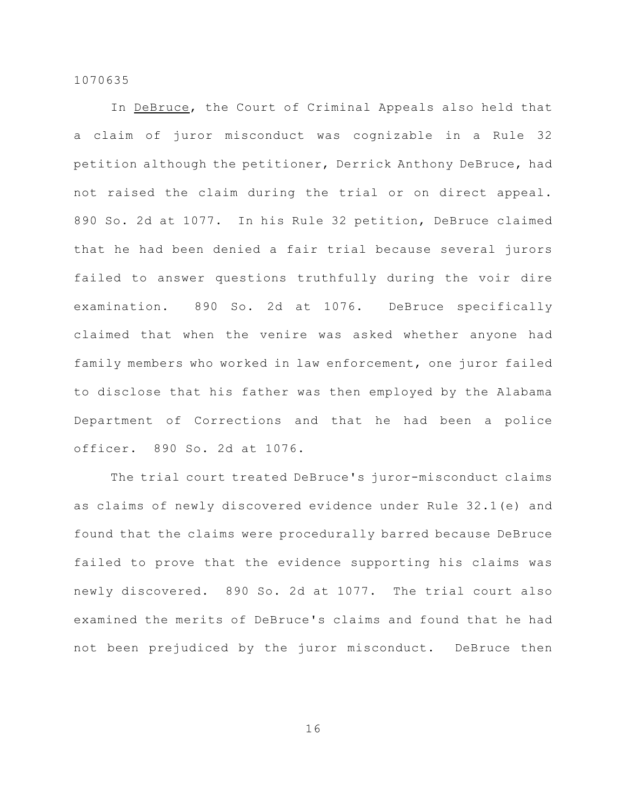In DeBruce, the Court of Criminal Appeals also held that a claim of juror misconduct was cognizable in a Rule 32 petition although the petitioner, Derrick Anthony DeBruce, had not raised the claim during the trial or on direct appeal. 890 So. 2d at 1077. In his Rule 32 petition, DeBruce claimed that he had been denied a fair trial because several jurors failed to answer questions truthfully during the voir dire examination. 890 So. 2d at 1076. DeBruce specifically claimed that when the venire was asked whether anyone had family members who worked in law enforcement, one juror failed to disclose that his father was then employed by the Alabama Department of Corrections and that he had been a police officer. 890 So. 2d at 1076.

The trial court treated DeBruce's juror-misconduct claims as claims of newly discovered evidence under Rule 32.1(e) and found that the claims were procedurally barred because DeBruce failed to prove that the evidence supporting his claims was newly discovered. 890 So. 2d at 1077. The trial court also examined the merits of DeBruce's claims and found that he had not been prejudiced by the juror misconduct. DeBruce then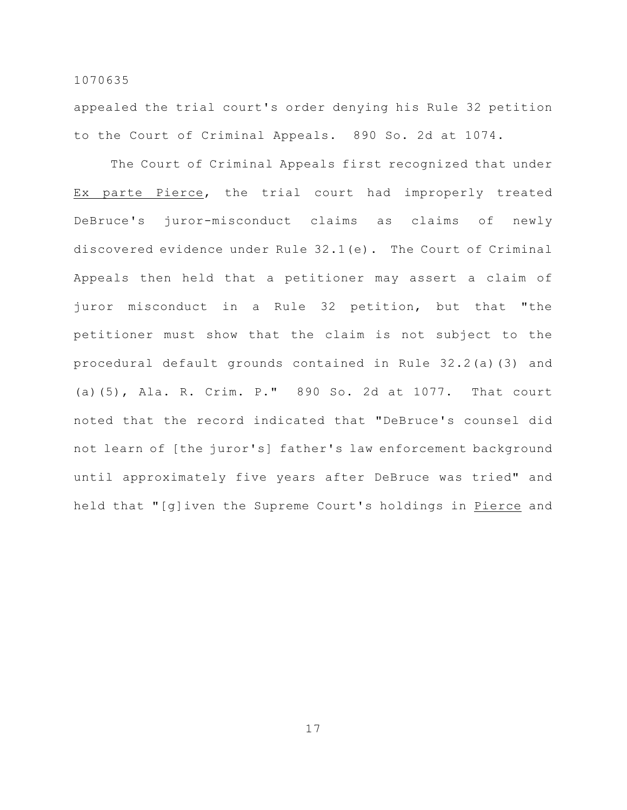appealed the trial court's order denying his Rule 32 petition to the Court of Criminal Appeals. 890 So. 2d at 1074.

The Court of Criminal Appeals first recognized that under Ex parte Pierce, the trial court had improperly treated DeBruce's juror-misconduct claims as claims of newly discovered evidence under Rule 32.1(e). The Court of Criminal Appeals then held that a petitioner may assert a claim of juror misconduct in a Rule 32 petition, but that "the petitioner must show that the claim is not subject to the procedural default grounds contained in Rule 32.2(a)(3) and (a)(5), Ala. R. Crim. P." 890 So. 2d at 1077. That court noted that the record indicated that "DeBruce's counsel did not learn of [the juror's] father's law enforcement background until approximately five years after DeBruce was tried" and held that "[g]iven the Supreme Court's holdings in Pierce and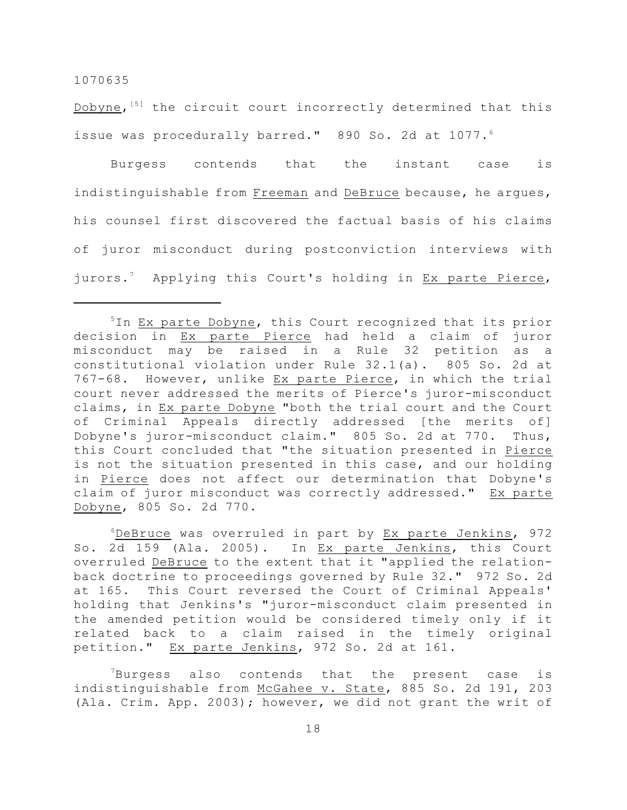Dobyne,  $[5]$  the circuit court incorrectly determined that this issue was procedurally barred." 890 So. 2d at 1077.6

Burgess contends that the instant case is indistinguishable from Freeman and DeBruce because, he argues, his counsel first discovered the factual basis of his claims of juror misconduct during postconviction interviews with jurors.<sup>7</sup> Applying this Court's holding in Ex parte Pierce,

 $6$ DeBruce was overruled in part by Ex parte Jenkins, 972 So. 2d 159 (Ala. 2005). In Ex parte Jenkins, this Court overruled DeBruce to the extent that it "applied the relationback doctrine to proceedings governed by Rule 32." 972 So. 2d at 165. This Court reversed the Court of Criminal Appeals' holding that Jenkins's "juror-misconduct claim presented in the amended petition would be considered timely only if it related back to a claim raised in the timely original petition." Ex parte Jenkins, 972 So. 2d at 161.

 $7Burgess$  also contends that the present case is indistinguishable from McGahee v. State, 885 So. 2d 191, 203 (Ala. Crim. App. 2003); however, we did not grant the writ of

 $5$ In Ex parte Dobyne, this Court recognized that its prior decision in Ex parte Pierce had held a claim of juror misconduct may be raised in a Rule 32 petition as a constitutional violation under Rule 32.1(a). 805 So. 2d at 767-68. However, unlike Ex parte Pierce, in which the trial court never addressed the merits of Pierce's juror-misconduct claims, in Ex parte Dobyne "both the trial court and the Court of Criminal Appeals directly addressed [the merits of] Dobyne's juror-misconduct claim." 805 So. 2d at 770. Thus, this Court concluded that "the situation presented in Pierce is not the situation presented in this case, and our holding in Pierce does not affect our determination that Dobyne's claim of juror misconduct was correctly addressed." Ex parte Dobyne, 805 So. 2d 770.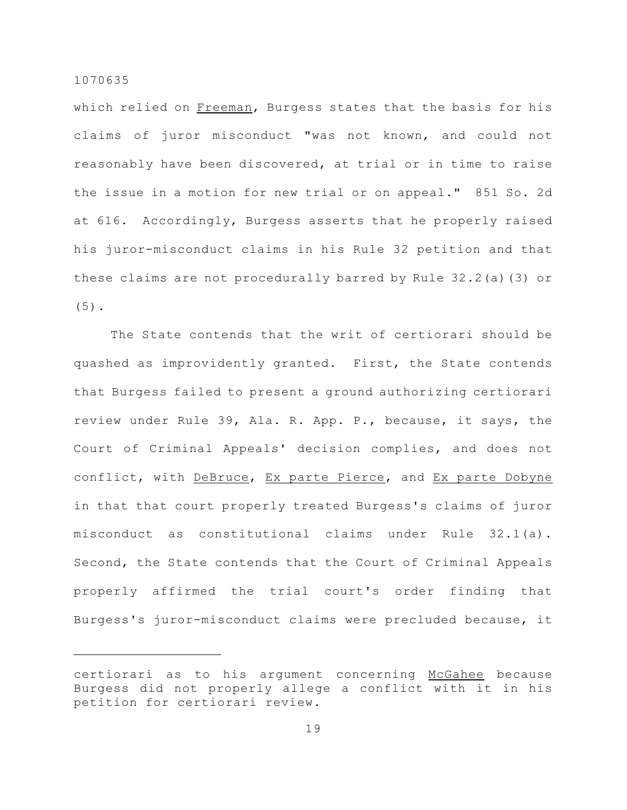which relied on Freeman, Burgess states that the basis for his claims of juror misconduct "was not known, and could not reasonably have been discovered, at trial or in time to raise the issue in a motion for new trial or on appeal." 851 So. 2d at 616. Accordingly, Burgess asserts that he properly raised his juror-misconduct claims in his Rule 32 petition and that these claims are not procedurally barred by Rule 32.2(a)(3) or (5).

The State contends that the writ of certiorari should be quashed as improvidently granted. First, the State contends that Burgess failed to present a ground authorizing certiorari review under Rule 39, Ala. R. App. P., because, it says, the Court of Criminal Appeals' decision complies, and does not conflict, with DeBruce, Ex parte Pierce, and Ex parte Dobyne in that that court properly treated Burgess's claims of juror misconduct as constitutional claims under Rule 32.1(a). Second, the State contends that the Court of Criminal Appeals properly affirmed the trial court's order finding that Burgess's juror-misconduct claims were precluded because, it

certiorari as to his argument concerning McGahee because Burgess did not properly allege a conflict with it in his petition for certiorari review.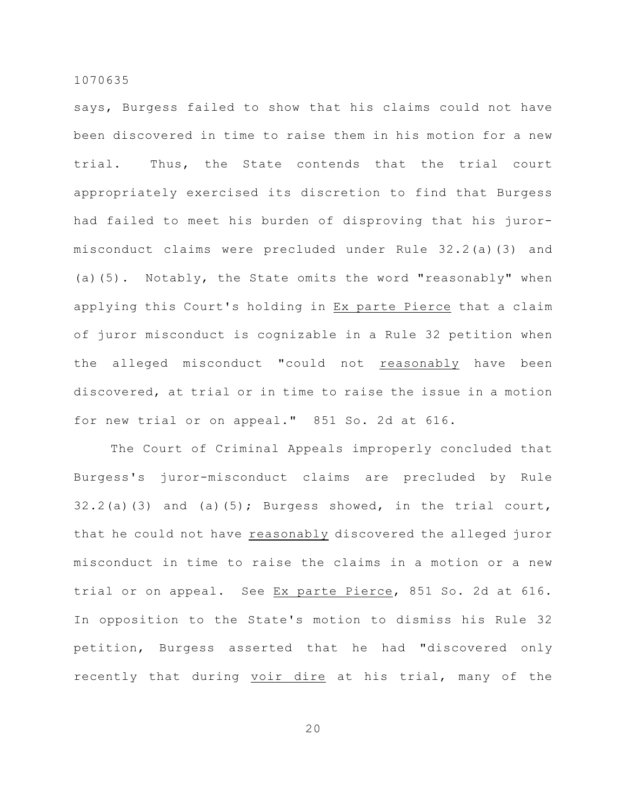says, Burgess failed to show that his claims could not have been discovered in time to raise them in his motion for a new trial. Thus, the State contends that the trial court appropriately exercised its discretion to find that Burgess had failed to meet his burden of disproving that his jurormisconduct claims were precluded under Rule 32.2(a)(3) and (a)(5). Notably, the State omits the word "reasonably" when applying this Court's holding in Ex parte Pierce that a claim of juror misconduct is cognizable in a Rule 32 petition when the alleged misconduct "could not reasonably have been discovered, at trial or in time to raise the issue in a motion for new trial or on appeal." 851 So. 2d at 616.

The Court of Criminal Appeals improperly concluded that Burgess's juror-misconduct claims are precluded by Rule  $32.2(a)(3)$  and (a)(5); Burgess showed, in the trial court, that he could not have reasonably discovered the alleged juror misconduct in time to raise the claims in a motion or a new trial or on appeal. See Ex parte Pierce, 851 So. 2d at 616. In opposition to the State's motion to dismiss his Rule 32 petition, Burgess asserted that he had "discovered only recently that during voir dire at his trial, many of the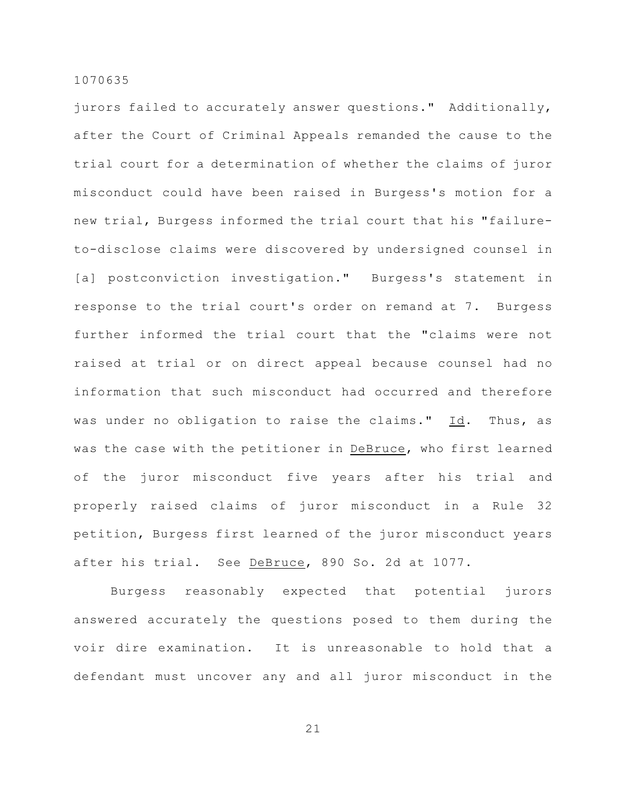jurors failed to accurately answer questions." Additionally, after the Court of Criminal Appeals remanded the cause to the trial court for a determination of whether the claims of juror misconduct could have been raised in Burgess's motion for a new trial, Burgess informed the trial court that his "failureto-disclose claims were discovered by undersigned counsel in [a] postconviction investigation." Burgess's statement in response to the trial court's order on remand at 7. Burgess further informed the trial court that the "claims were not raised at trial or on direct appeal because counsel had no information that such misconduct had occurred and therefore was under no obligation to raise the claims." Id. Thus, as was the case with the petitioner in DeBruce, who first learned of the juror misconduct five years after his trial and properly raised claims of juror misconduct in a Rule 32 petition, Burgess first learned of the juror misconduct years after his trial. See DeBruce, 890 So. 2d at 1077.

Burgess reasonably expected that potential jurors answered accurately the questions posed to them during the voir dire examination. It is unreasonable to hold that a defendant must uncover any and all juror misconduct in the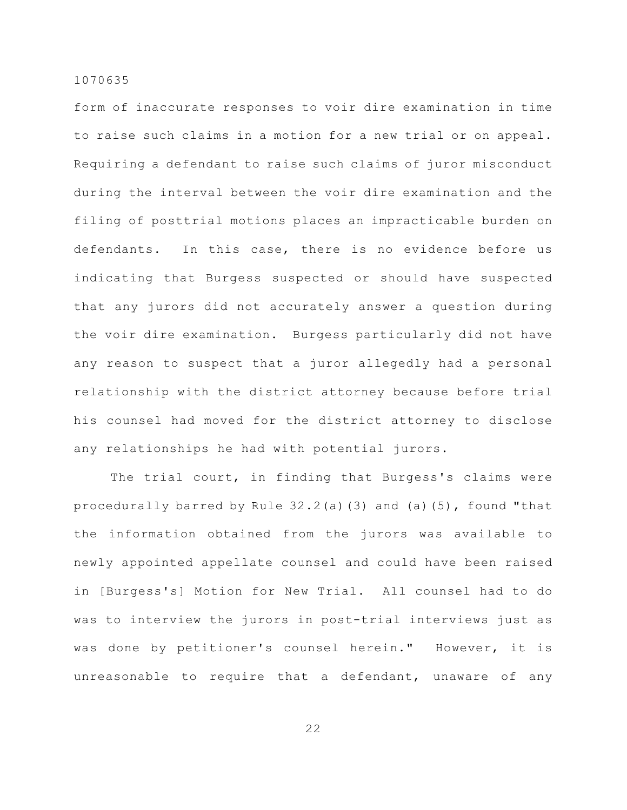form of inaccurate responses to voir dire examination in time to raise such claims in a motion for a new trial or on appeal. Requiring a defendant to raise such claims of juror misconduct during the interval between the voir dire examination and the filing of posttrial motions places an impracticable burden on defendants. In this case, there is no evidence before us indicating that Burgess suspected or should have suspected that any jurors did not accurately answer a question during the voir dire examination. Burgess particularly did not have any reason to suspect that a juror allegedly had a personal relationship with the district attorney because before trial his counsel had moved for the district attorney to disclose any relationships he had with potential jurors.

The trial court, in finding that Burgess's claims were procedurally barred by Rule 32.2(a)(3) and (a)(5), found "that the information obtained from the jurors was available to newly appointed appellate counsel and could have been raised in [Burgess's] Motion for New Trial. All counsel had to do was to interview the jurors in post-trial interviews just as was done by petitioner's counsel herein." However, it is unreasonable to require that a defendant, unaware of any